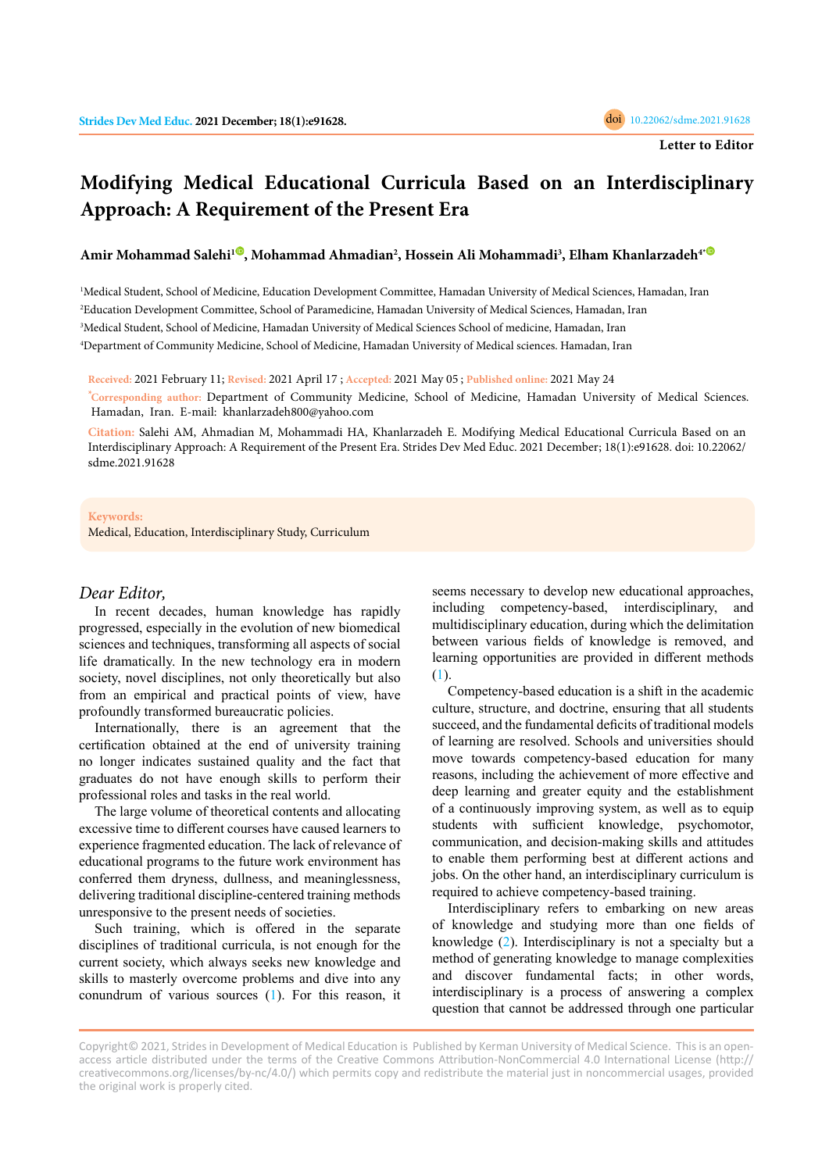# **Modifying Medical Educational Curricula Based on an Interdisciplinary Approach: A Requirement of the Present Era**

## **Amir Mohammad Salehi[1](https://orcid.org/0000-0002-1724-6432) , Mohammad Ahmadian2 , Hossein Ali Mohammadi3 , Elham Khanlarzadeh4[\\*](https://orcid.org/0000-0003-3265-4570)**

 Medical Student, School of Medicine, Education Development Committee, Hamadan University of Medical Sciences, Hamadan, Iran Education Development Committee, School of Paramedicine, Hamadan University of Medical Sciences, Hamadan, Iran Medical Student, School of Medicine, Hamadan University of Medical Sciences School of medicine, Hamadan, Iran Department of Community Medicine, School of Medicine, Hamadan University of Medical sciences. Hamadan, Iran

**Received:** 2021 February 11; **Revised:** 2021 April 17 ; **Accepted:** 2021 May 05 ; **Published online:** 2021 May 24

**\*Corresponding author:** Department of Community Medicine, School of Medicine, Hamadan University of Medical Sciences. Hamadan, Iran. E-mail: khanlarzadeh800@yahoo.com

**Citation:** Salehi AM, Ahmadian M, Mohammadi HA, Khanlarzadeh E. Modifying Medical Educational Curricula Based on an Interdisciplinary Approach: A Requirement of the Present Era. Strides Dev Med Educ. 2021 December; 18(1):e91628. doi: 10.22062/ sdme.2021.91628

#### **Keywords:**

Medical, Education, Interdisciplinary Study, Curriculum

## *Dear Editor,*

In recent decades, human knowledge has rapidly progressed, especially in the evolution of new biomedical sciences and techniques, transforming all aspects of social life dramatically. In the new technology era in modern society, novel disciplines, not only theoretically but also from an empirical and practical points of view, have profoundly transformed bureaucratic policies.

Internationally, there is an agreement that the certification obtained at the end of university training no longer indicates sustained quality and the fact that graduates do not have enough skills to perform their professional roles and tasks in the real world.

The large volume of theoretical contents and allocating excessive time to different courses have caused learners to experience fragmented education. The lack of relevance of educational programs to the future work environment has conferred them dryness, dullness, and meaninglessness, delivering traditional discipline-centered training methods unresponsive to the present needs of societies.

Such training, which is offered in the separate disciplines of traditional curricula, is not enough for the current society, which always seeks new knowledge and skills to masterly overcome problems and dive into any conundrum of various sources ([1\)](#page-1-0). For this reason, it seems necessary to develop new educational approaches, including competency-based, interdisciplinary, and multidisciplinary education, during which the delimitation between various fields of knowledge is removed, and learning opportunities are provided in different methods ([1\)](#page-1-0).

Competency-based education is a shift in the academic culture, structure, and doctrine, ensuring that all students succeed, and the fundamental deficits of traditional models of learning are resolved. Schools and universities should move towards competency-based education for many reasons, including the achievement of more effective and deep learning and greater equity and the establishment of a continuously improving system, as well as to equip students with sufficient knowledge, psychomotor, communication, and decision-making skills and attitudes to enable them performing best at different actions and jobs. On the other hand, an interdisciplinary curriculum is required to achieve competency-based training.

Interdisciplinary refers to embarking on new areas of knowledge and studying more than one fields of knowledge [\(2](#page-1-0)). Interdisciplinary is not a specialty but a method of generating knowledge to manage complexities and discover fundamental facts; in other words, interdisciplinary is a process of answering a complex question that cannot be addressed through one particular

Copyright© 2021, Strides in Development of Medical Education is Published by Kerman University of Medical Science. This is an openaccess article distributed under the terms of the Creative Commons Attribution-NonCommercial 4.0 International License (http:// creativecommons.org/licenses/by-nc/4.0/) which permits copy and redistribute the material just in noncommercial usages, provided the original work is properly cited.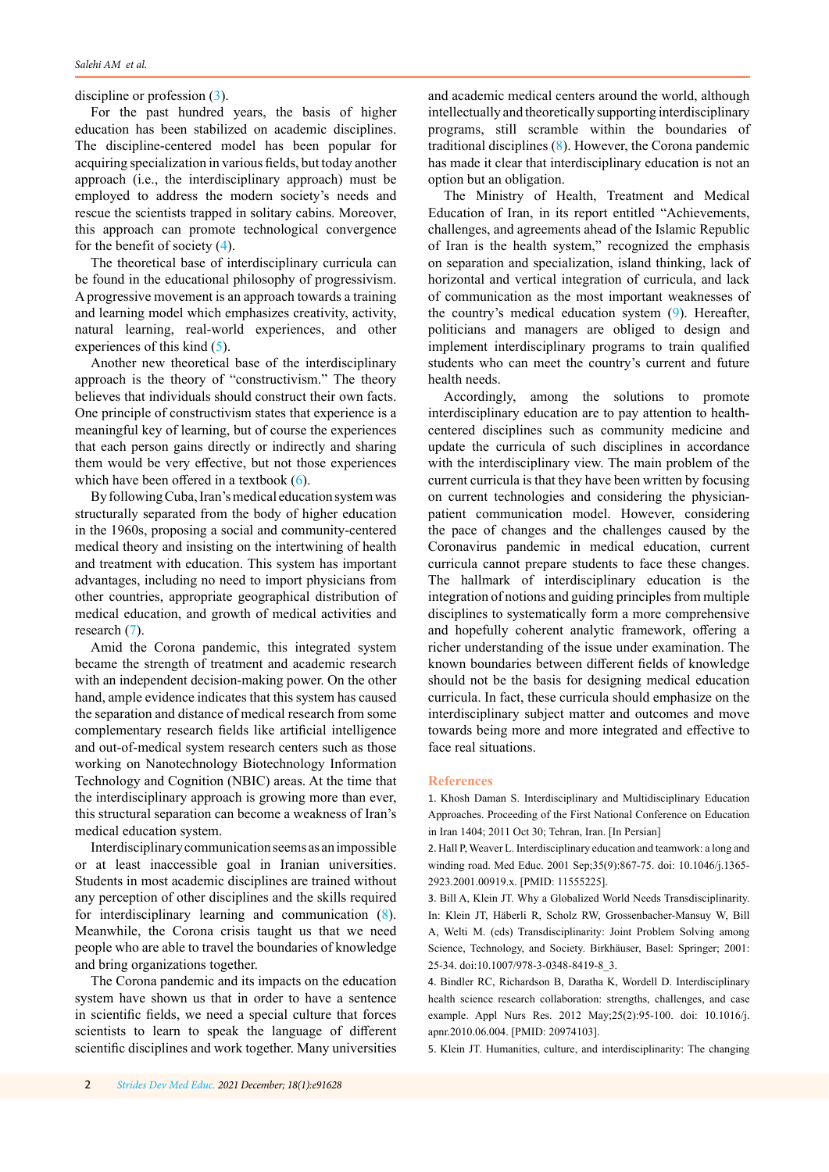<span id="page-1-0"></span>discipline or profession (3).

For the past hundred years, the basis of higher education has been stabilized on academic disciplines. The discipline-centered model has been popular for acquiring specialization in various fields, but today another approach (i.e., the interdisciplinary approach) must be employed to address the modern society's needs and rescue the scientists trapped in solitary cabins. Moreover, this approach can promote technological convergence for the benefit of society (4).

The theoretical base of interdisciplinary curricula can be found in the educational philosophy of progressivism. A progressive movement is an approach towards a training and learning model which emphasizes creativity, activity, natural learning, real-world experiences, and other experiences of this kind (5).

Another new theoretical base of the interdisciplinary approach is the theory of "constructivism." The theory believes that individuals should construct their own facts. One principle of constructivism states that experience is a meaningful key of learning, but of course the experiences that each person gains directly or indirectly and sharing them would be very effective, but not those experiences which have been offered in a textbook ([6](#page-2-0)).

By following Cuba, Iran's medical education system was structurally separated from the body of higher education in the 1960s, proposing a social and community-centered medical theory and insisting on the intertwining of health and treatment with education. This system has important advantages, including no need to import physicians from other countries, appropriate geographical distribution of medical education, and growth of medical activities and research ([7\)](#page-2-0).

Amid the Corona pandemic, this integrated system became the strength of treatment and academic research with an independent decision-making power. On the other hand, ample evidence indicates that this system has caused the separation and distance of medical research from some complementary research fields like artificial intelligence and out-of-medical system research centers such as those working on Nanotechnology Biotechnology Information Technology and Cognition (NBIC) areas. At the time that the interdisciplinary approach is growing more than ever, this structural separation can become a weakness of Iran's medical education system.

Interdisciplinary communication seems as an impossible or at least inaccessible goal in Iranian universities. Students in most academic disciplines are trained without any perception of other disciplines and the skills required for interdisciplinary learning and communication [\(8](#page-2-0)). Meanwhile, the Corona crisis taught us that we need people who are able to travel the boundaries of knowledge and bring organizations together.

The Corona pandemic and its impacts on the education system have shown us that in order to have a sentence in scientific fields, we need a special culture that forces scientists to learn to speak the language of different scientific disciplines and work together. Many universities and academic medical centers around the world, although intellectually and theoretically supporting interdisciplinary programs, still scramble within the boundaries of traditional disciplines [\(8](#page-2-0)). However, the Corona pandemic has made it clear that interdisciplinary education is not an option but an obligation.

The Ministry of Health, Treatment and Medical Education of Iran, in its report entitled "Achievements, challenges, and agreements ahead of the Islamic Republic of Iran is the health system," recognized the emphasis on separation and specialization, island thinking, lack of horizontal and vertical integration of curricula, and lack of communication as the most important weaknesses of the country's medical education system [\(9](#page-2-0)). Hereafter, politicians and managers are obliged to design and implement interdisciplinary programs to train qualified students who can meet the country's current and future health needs.

Accordingly, among the solutions to promote interdisciplinary education are to pay attention to healthcentered disciplines such as community medicine and update the curricula of such disciplines in accordance with the interdisciplinary view. The main problem of the current curricula is that they have been written by focusing on current technologies and considering the physicianpatient communication model. However, considering the pace of changes and the challenges caused by the Coronavirus pandemic in medical education, current curricula cannot prepare students to face these changes. The hallmark of interdisciplinary education is the integration of notions and guiding principles from multiple disciplines to systematically form a more comprehensive and hopefully coherent analytic framework, offering a richer understanding of the issue under examination. The known boundaries between different fields of knowledge should not be the basis for designing medical education curricula. In fact, these curricula should emphasize on the interdisciplinary subject matter and outcomes and move towards being more and more integrated and effective to face real situations.

### **References**

1. Khosh Daman S. Interdisciplinary and Multidisciplinary Education Approaches. Proceeding of the First National Conference on Education in Iran 1404; 2011 Oct 30; Tehran, Iran. [In Persian]

2. Hall P, Weaver L. Interdisciplinary education and teamwork: a long and winding road. Med Educ. 2001 Sep;35(9):867-75. doi: 10.1046/j.1365- 2923.2001.00919.x. [PMID: 11555225].

3. Bill A, Klein JT. Why a Globalized World Needs Transdisciplinarity. In: Klein JT, Häberli R, Scholz RW, Grossenbacher-Mansuy W, Bill A, Welti M. (eds) Transdisciplinarity: Joint Problem Solving among Science, Technology, and Society. Birkhäuser, Basel: Springer; 2001: 25-34. doi:10.1007/978-3-0348-8419-8\_3.

4. Bindler RC, Richardson B, Daratha K, Wordell D. Interdisciplinary health science research collaboration: strengths, challenges, and case example. Appl Nurs Res. 2012 May;25(2):95-100. doi: 10.1016/j. apnr.2010.06.004. [PMID: 20974103].

5. Klein JT. Humanities, culture, and interdisciplinarity: The changing